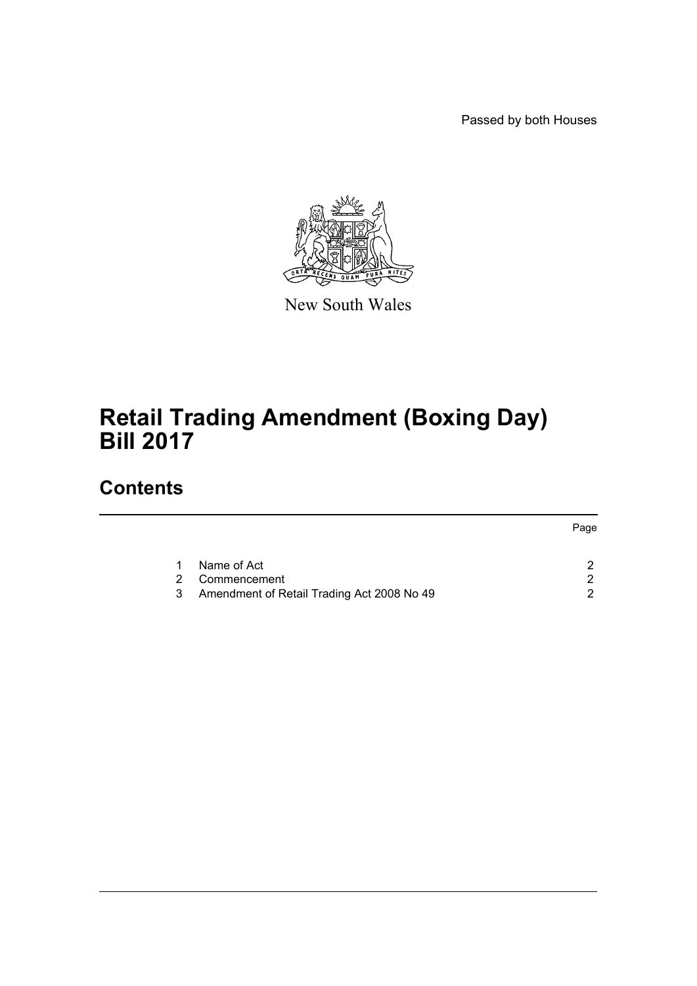Passed by both Houses



New South Wales

# **Retail Trading Amendment (Boxing Day) Bill 2017**

# **Contents**

|   |                                            | Page |
|---|--------------------------------------------|------|
|   | Name of Act                                |      |
|   | 2 Commencement                             |      |
| 3 | Amendment of Retail Trading Act 2008 No 49 |      |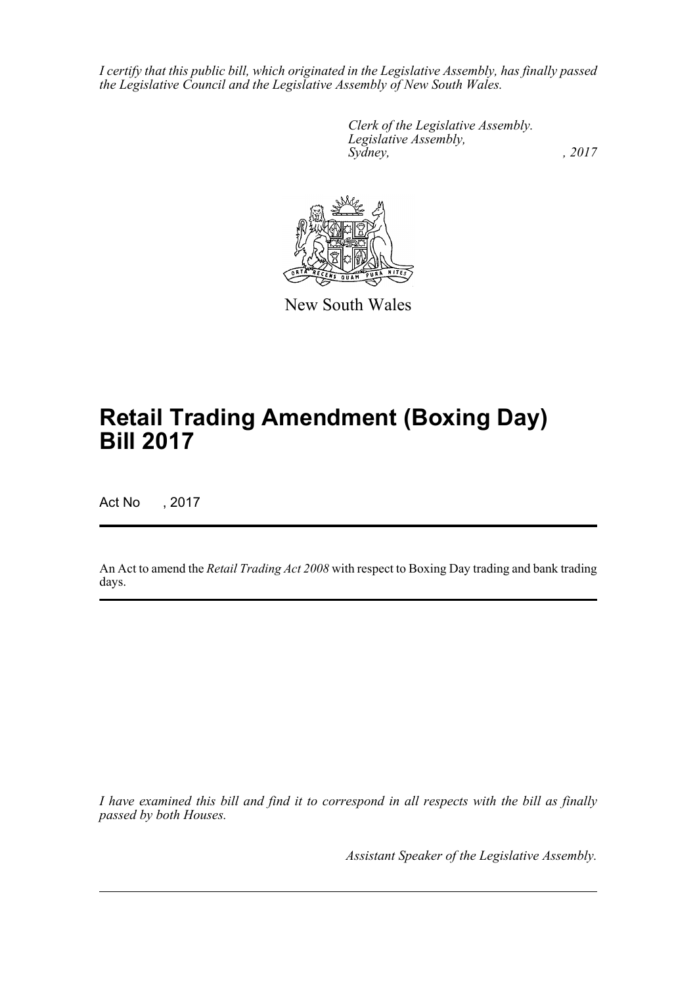*I certify that this public bill, which originated in the Legislative Assembly, has finally passed the Legislative Council and the Legislative Assembly of New South Wales.*

> *Clerk of the Legislative Assembly. Legislative Assembly, Sydney,* , 2017



New South Wales

# **Retail Trading Amendment (Boxing Day) Bill 2017**

Act No , 2017

An Act to amend the *Retail Trading Act 2008* with respect to Boxing Day trading and bank trading days.

*I have examined this bill and find it to correspond in all respects with the bill as finally passed by both Houses.*

*Assistant Speaker of the Legislative Assembly.*